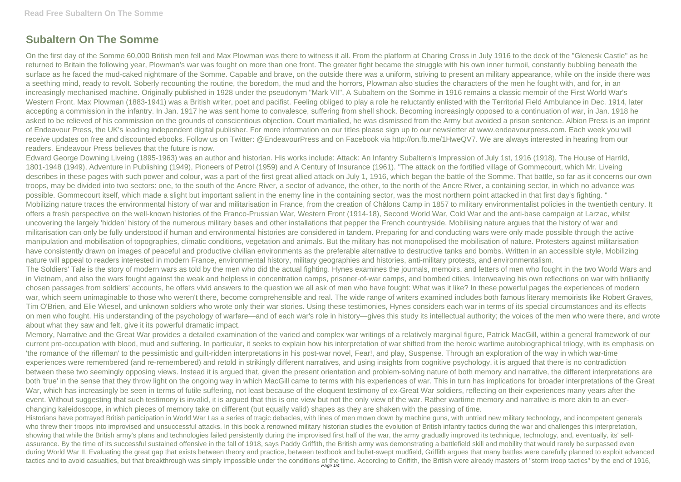## **Subaltern On The Somme**

On the first day of the Somme 60,000 British men fell and Max Plowman was there to witness it all. From the platform at Charing Cross in July 1916 to the deck of the "Glenesk Castle" as he returned to Britain the following year, Plowman's war was fought on more than one front. The greater fight became the struggle with his own inner turmoil, constantly bubbling beneath the surface as he faced the mud-caked nightmare of the Somme. Capable and brave, on the outside there was a uniform, striving to present an military appearance, while on the inside there was a seething mind, ready to revolt. Soberly recounting the routine, the boredom, the mud and the horrors, Plowman also studies the characters of the men he fought with, and for, in an increasingly mechanised machine. Originally published in 1928 under the pseudonym "Mark VII", A Subaltern on the Somme in 1916 remains a classic memoir of the First World War's Western Front. Max Plowman (1883-1941) was a British writer, poet and pacifist. Feeling obliged to play a role he reluctantly enlisted with the Territorial Field Ambulance in Dec. 1914, later accepting a commission in the infantry. In Jan. 1917 he was sent home to convalesce, suffering from shell shock. Becoming increasingly opposed to a continuation of war, in Jan. 1918 he asked to be relieved of his commission on the grounds of conscientious objection. Court martialled, he was dismissed from the Army but avoided a prison sentence. Albion Press is an imprint of Endeavour Press, the UK's leading independent digital publisher. For more information on our titles please sign up to our newsletter at www.endeavourpress.com. Each week you will receive updates on free and discounted ebooks. Follow us on Twitter: @EndeavourPress and on Facebook via http://on.fb.me/1HweQV7. We are always interested in hearing from our readers. Endeavour Press believes that the future is now.

Historians have portrayed British participation in World War I as a series of tragic debacles, with lines of men mown down by machine guns, with untried new military technology, and incompetent generals who threw their troops into improvised and unsuccessful attacks. In this book a renowned military historian studies the evolution of British infantry tactics during the war and challenges this interpretation, showing that while the British army's plans and technologies failed persistently during the improvised first half of the war, the army gradually improved its technique, technology, and, eventually, its' selfassurance. By the time of its successful sustained offensive in the fall of 1918, says Paddy Griffith, the British army was demonstrating a battlefield skill and mobility that would rarely be surpassed even during World War II. Evaluating the great gap that exists between theory and practice, between textbook and bullet-swept mudfield, Griffith argues that many battles were carefully planned to exploit advanced tactics and to avoid casualties, but that breakthrough was simply impossible under the conditions of the time. According to Griffith, the British were already masters of "storm troop tactics" by the end of 1916,

Edward George Downing Liveing (1895-1963) was an author and historian. His works include: Attack: An Infantry Subaltern's Impression of July 1st, 1916 (1918), The House of Harrild, 1801-1948 (1949), Adventure in Publishing (1949), Pioneers of Petrol (1959) and A Century of Insurance (1961). "The attack on the fortified village of Gommecourt, which Mr. Liveing describes in these pages with such power and colour, was a part of the first great allied attack on July 1, 1916, which began the battle of the Somme. That battle, so far as it concerns our own troops, may be divided into two sectors: one, to the south of the Ancre River, a sector of advance, the other, to the north of the Ancre River, a containing sector, in which no advance was possible. Gommecourt itself, which made a slight but important salient in the enemy line in the containing sector, was the most northern point attacked in that first day's fighting. " Mobilizing nature traces the environmental history of war and militarisation in France, from the creation of Châlons Camp in 1857 to military environmentalist policies in the twentieth century. It offers a fresh perspective on the well-known histories of the Franco-Prussian War, Western Front (1914-18), Second World War, Cold War and the anti-base campaign at Larzac, whilst uncovering the largely 'hidden' history of the numerous military bases and other installations that pepper the French countryside. Mobilising nature argues that the history of war and militarisation can only be fully understood if human and environmental histories are considered in tandem. Preparing for and conducting wars were only made possible through the active manipulation and mobilisation of topographies, climatic conditions, vegetation and animals. But the military has not monopolised the mobilisation of nature. Protesters against militarisation have consistently drawn on images of peaceful and productive civilian environments as the preferable alternative to destructive tanks and bombs. Written in an accessible style, Mobilizing nature will appeal to readers interested in modern France, environmental history, military geographies and histories, anti-military protests, and environmentalism. The Soldiers' Tale is the story of modern wars as told by the men who did the actual fighting. Hynes examines the journals, memoirs, and letters of men who fought in the two World Wars and in Vietnam, and also the wars fought against the weak and helpless in concentration camps, prisoner-of-war camps, and bombed cities. Interweaving his own reflections on war with brilliantly chosen passages from soldiers' accounts, he offers vivid answers to the question we all ask of men who have fought: What was it like? In these powerful pages the experiences of modern war, which seem unimaginable to those who weren't there, become comprehensible and real. The wide range of writers examined includes both famous literary memoirists like Robert Graves, Tim O'Brien, and Elie Wiesel, and unknown soldiers who wrote only their war stories. Using these testimonies, Hynes considers each war in terms of its special circumstances and its effects on men who fought. His understanding of the psychology of warfare—and of each war's role in history—gives this study its intellectual authority; the voices of the men who were there, and wrote about what they saw and felt, give it its powerful dramatic impact.

Memory, Narrative and the Great War provides a detailed examination of the varied and complex war writings of a relatively marginal figure, Patrick MacGill, within a general framework of our current pre-occupation with blood, mud and suffering. In particular, it seeks to explain how his interpretation of war shifted from the heroic wartime autobiographical trilogy, with its emphasis on 'the romance of the rifleman' to the pessimistic and guilt-ridden interpretations in his post-war novel, Fear!, and play, Suspense. Through an exploration of the way in which war-time experiences were remembered (and re-remembered) and retold in strikingly different narratives, and using insights from cognitive psychology, it is argued that there is no contradiction between these two seemingly opposing views. Instead it is argued that, given the present orientation and problem-solving nature of both memory and narrative, the different interpretations are both 'true' in the sense that they throw light on the ongoing way in which MacGill came to terms with his experiences of war. This in turn has implications for broader interpretations of the Great War, which has increasingly be seen in terms of futile suffering, not least because of the eloquent testimony of ex-Great War soldiers, reflecting on their experiences many years after the event. Without suggesting that such testimony is invalid, it is argued that this is one view but not the only view of the war. Rather wartime memory and narrative is more akin to an everchanging kaleidoscope, in which pieces of memory take on different (but equally valid) shapes as they are shaken with the passing of time.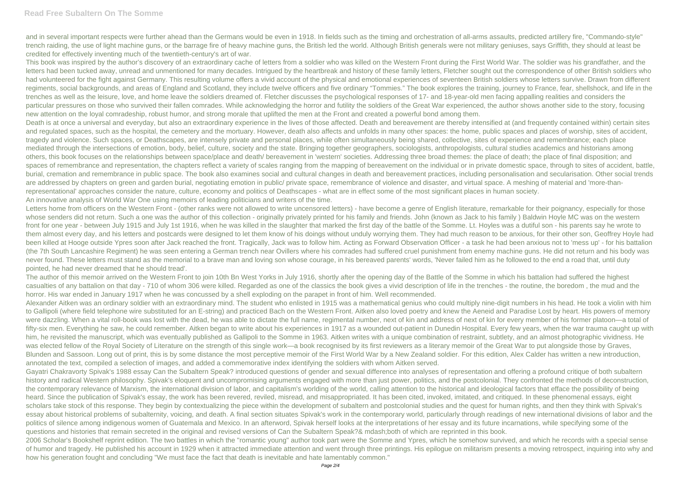and in several important respects were further ahead than the Germans would be even in 1918. In fields such as the timing and orchestration of all-arms assaults, predicted artillery fire, "Commando-style" trench raiding, the use of light machine guns, or the barrage fire of heavy machine guns, the British led the world. Although British generals were not military geniuses, says Griffith, they should at least be credited for effectively inventing much of the twentieth-century's art of war.

This book was inspired by the author's discovery of an extraordinary cache of letters from a soldier who was killed on the Western Front during the First World War. The soldier was his grandfather, and the letters had been tucked away, unread and unmentioned for many decades. Intrigued by the heartbreak and history of these family letters, Fletcher sought out the correspondence of other British soldiers who had volunteered for the fight against Germany. This resulting volume offers a vivid account of the physical and emotional experiences of seventeen British soldiers whose letters survive. Drawn from different regiments, social backgrounds, and areas of England and Scotland, they include twelve officers and five ordinary "Tommies." The book explores the training, journey to France, fear, shellshock, and life in the trenches as well as the leisure, love, and home leave the soldiers dreamed of. Fletcher discusses the psychological responses of 17- and 18-year-old men facing appalling realities and considers the particular pressures on those who survived their fallen comrades. While acknowledging the horror and futility the soldiers of the Great War experienced, the author shows another side to the story, focusing new attention on the loyal comradeship, robust humor, and strong morale that uplifted the men at the Front and created a powerful bond among them.

Death is at once a universal and everyday, but also an extraordinary experience in the lives of those affected. Death and bereavement are thereby intensified at (and frequently contained within) certain sites and regulated spaces, such as the hospital, the cemetery and the mortuary. However, death also affects and unfolds in many other spaces: the home, public spaces and places of worship, sites of accident, tragedy and violence. Such spaces, or Deathscapes, are intensely private and personal places, while often simultaneously being shared, collective, sites of experience and remembrance; each place mediated through the intersections of emotion, body, belief, culture, society and the state. Bringing together geographers, sociologists, anthropologists, cultural studies academics and historians among others, this book focuses on the relationships between space/place and death/ bereavement in 'western' societies. Addressing three broad themes: the place of death; the place of final disposition; and spaces of remembrance and representation, the chapters reflect a variety of scales ranging from the mapping of bereavement on the individual or in private domestic space, through to sites of accident, battle, burial, cremation and remembrance in public space. The book also examines social and cultural changes in death and bereavement practices, including personalisation and secularisation. Other social trends are addressed by chapters on green and garden burial, negotiating emotion in public/ private space, remembrance of violence and disaster, and virtual space. A meshing of material and 'more-thanrepresentational' approaches consider the nature, culture, economy and politics of Deathscapes - what are in effect some of the most significant places in human society. An innovative analysis of World War One using memoirs of leading politicians and writers of the time.

Letters home from officers on the Western Front - (other ranks were not allowed to write uncensored letters) - have become a genre of English literature, remarkable for their poignancy, especially for those whose senders did not return. Such a one was the author of this collection - originally privately printed for his family and friends. John (known as Jack to his family ) Baldwin Hoyle MC was on the western front for one year - between July 1915 and July 1st 1916, when he was killed in the slaughter that marked the first day of the battle of the Somme. Lt. Hoyles was a dutiful son - his parents say he wrote to them almost every day, and his letters and postcards were designed to let them know of his doings without unduly worrying them. They had much reason to be anxious, for their other son, Geoffrey Hoyle had been killed at Hooge outside Ypres soon after Jack reached the front. Tragically, Jack was to follow him. Acting as Forward Observation Officer - a task he had been anxious not to 'mess up' - for his battalion (the 7th South Lancashire Regiment) he was seen entering a German trench near Ovillers where his comrades had suffered cruel punishment from enemy machine guns. He did not return and his body was never found. These letters must stand as the memorial to a brave man and loving son whose courage, in his bereaved parents' words, 'Never failed him as he followed to the end a road that, until duty pointed, he had never dreamed that he should tread'.

The author of this memoir arrived on the Western Front to join 10th Bn West Yorks in July 1916, shortly after the opening day of the Battle of the Somme in which his battalion had suffered the highest casualties of any battalion on that day - 710 of whom 306 were killed. Regarded as one of the classics the book gives a vivid description of life in the trenches - the routine, the boredom , the mud and the horror. His war ended in January 1917 when he was concussed by a shell exploding on the parapet in front of him. Well recommended.

Alexander Aitken was an ordinary soldier with an extraordinary mind. The student who enlisted in 1915 was a mathematical genius who could multiply nine-digit numbers in his head. He took a violin with him to Gallipoli (where field telephone wire substituted for an E-string) and practiced Bach on the Western Front. Aitken also loved poetry and knew the Aeneid and Paradise Lost by heart. His powers of memory were dazzling. When a vital roll-book was lost with the dead, he was able to dictate the full name, regimental number, next of kin and address of next of kin for every member of his former platoon—a total of fifty-six men. Everything he saw, he could remember. Aitken began to write about his experiences in 1917 as a wounded out-patient in Dunedin Hospital. Every few years, when the war trauma caught up with him, he revisited the manuscript, which was eventually published as Gallipoli to the Somme in 1963. Aitken writes with a unique combination of restraint, subtlety, and an almost photographic vividness. He was elected fellow of the Royal Society of Literature on the strength of this single work—a book recognised by its first reviewers as a literary memoir of the Great War to put alongside those by Graves, Blunden and Sassoon. Long out of print, this is by some distance the most perceptive memoir of the First World War by a New Zealand soldier. For this edition, Alex Calder has written a new introduction, annotated the text, compiled a selection of images, and added a commemorative index identifying the soldiers with whom Aitken served.

Gayatri Chakravorty Spivak's 1988 essay Can the Subaltern Speak? introduced questions of gender and sexual difference into analyses of representation and offering a profound critique of both subaltern history and radical Western philosophy. Spivak's eloquent and uncompromising arguments engaged with more than just power, politics, and the postcolonial. They confronted the methods of deconstruction, the contemporary relevance of Marxism, the international division of labor, and capitalism's worlding of the world, calling attention to the historical and ideological factors that efface the possibility of being heard. Since the publication of Spivak's essay, the work has been revered, reviled, misread, and misappropriated. It has been cited, invoked, imitated, and critiqued. In these phenomenal essays, eight scholars take stock of this response. They begin by contextualizing the piece within the development of subaltern and postcolonial studies and the quest for human rights, and then they think with Spivak's essay about historical problems of subalternity, voicing, and death. A final section situates Spivak's work in the contemporary world, particularly through readings of new international divisions of labor and the politics of silence among indigenous women of Guatemala and Mexico. In an afterword, Spivak herself looks at the interpretations of her essay and its future incarnations, while specifying some of the questions and histories that remain secreted in the original and revised versions of Can the Subaltern Speak?& mdash;both of which are reprinted in this book. 2006 Scholar's Bookshelf reprint edition. The two battles in which the "romantic young" author took part were the Somme and Ypres, which he somehow survived, and which he records with a special sense of humor and tragedy. He published his account in 1929 when it attracted immediate attention and went through three printings. His epilogue on militarism presents a moving retrospect, inquiring into why and

how his generation fought and concluding "We must face the fact that death is inevitable and hate lamentably common."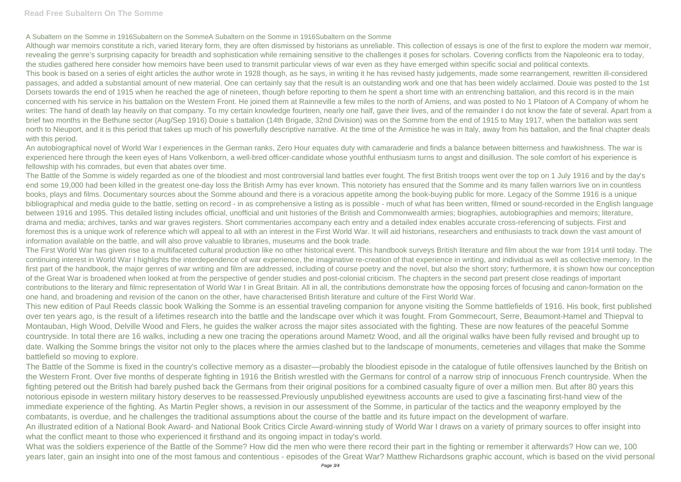## **Read Free Subaltern On The Somme**

Although war memoirs constitute a rich, varied literary form, they are often dismissed by historians as unreliable. This collection of essays is one of the first to explore the modern war memoir, revealing the genre's surprising capacity for breadth and sophistication while remaining sensitive to the challenges it poses for scholars. Covering conflicts from the Napoleonic era to today, the studies gathered here consider how memoirs have been used to transmit particular views of war even as they have emerged within specific social and political contexts. This book is based on a series of eight articles the author wrote in 1928 though, as he says, in writing it he has revised hasty judgements, made some rearrangement, rewritten ill-considered passages, and added a substantial amount of new material. One can certainly say that the result is an outstanding work and one that has been widely acclaimed. Douie was posted to the 1st Dorsets towards the end of 1915 when he reached the age of nineteen, though before reporting to them he spent a short time with an entrenching battalion, and this record is in the main concerned with his service in his battalion on the Western Front. He joined them at Rainneville a few miles to the north of Amiens, and was posted to No 1 Platoon of A Company of whom he writes: The hand of death lay heavily on that company. To my certain knowledge fourteen, nearly one half, gave their lives, and of the remainder I do not know the fate of several. Apart from a brief two months in the Bethune sector (Aug/Sep 1916) Douie s battalion (14th Brigade, 32nd Division) was on the Somme from the end of 1915 to May 1917, when the battalion was sent north to Nieuport, and it is this period that takes up much of his powerfully descriptive narrative. At the time of the Armistice he was in Italy, away from his battalion, and the final chapter deals with this period.

A Subaltern on the Somme in 1916Subaltern on the SommeA Subaltern on the Somme in 1916Subaltern on the Somme

An autobiographical novel of World War I experiences in the German ranks, Zero Hour equates duty with camaraderie and finds a balance between bitterness and hawkishness. The war is experienced here through the keen eyes of Hans Volkenborn, a well-bred officer-candidate whose youthful enthusiasm turns to angst and disillusion. The sole comfort of his experience is fellowship with his comrades, but even that abates over time.

The Battle of the Somme is widely regarded as one of the bloodiest and most controversial land battles ever fought. The first British troops went over the top on 1 July 1916 and by the day's end some 19,000 had been killed in the greatest one-day loss the British Army has ever known. This notoriety has ensured that the Somme and its many fallen warriors live on in countless books, plays and films. Documentary sources about the Somme abound and there is a voracious appetite among the book-buying public for more. Legacy of the Somme 1916 is a unique bibliographical and media guide to the battle, setting on record - in as comprehensive a listing as is possible - much of what has been written, filmed or sound-recorded in the English language between 1916 and 1995. This detailed listing includes official, unofficial and unit histories of the British and Commonwealth armies; biographies, autobiographies and memoirs; literature, drama and media; archives, tanks and war graves registers. Short commentaries accompany each entry and a detailed index enables accurate cross-referencing of subjects. First and foremost this is a unique work of reference which will appeal to all with an interest in the First World War. It will aid historians, researchers and enthusiasts to track down the vast amount of information available on the battle, and will also prove valuable to libraries, museums and the book trade.

The First World War has given rise to a multifaceted cultural production like no other historical event. This handbook surveys British literature and film about the war from 1914 until today. The continuing interest in World War I highlights the interdependence of war experience, the imaginative re-creation of that experience in writing, and individual as well as collective memory. In the first part of the handbook, the major genres of war writing and film are addressed, including of course poetry and the novel, but also the short story; furthermore, it is shown how our conception of the Great War is broadened when looked at from the perspective of gender studies and post-colonial criticism. The chapters in the second part present close readings of important contributions to the literary and filmic representation of World War I in Great Britain. All in all, the contributions demonstrate how the opposing forces of focusing and canon-formation on the one hand, and broadening and revision of the canon on the other, have characterised British literature and culture of the First World War.

This new edition of Paul Reeds classic book Walking the Somme is an essential traveling companion for anyone visiting the Somme battlefields of 1916. His book, first published over ten years ago, is the result of a lifetimes research into the battle and the landscape over which it was fought. From Gommecourt, Serre, Beaumont-Hamel and Thiepval to Montauban, High Wood, Delville Wood and Flers, he guides the walker across the major sites associated with the fighting. These are now features of the peaceful Somme countryside. In total there are 16 walks, including a new one tracing the operations around Mametz Wood, and all the original walks have been fully revised and brought up to date. Walking the Somme brings the visitor not only to the places where the armies clashed but to the landscape of monuments, cemeteries and villages that make the Somme battlefield so moving to explore.

The Battle of the Somme is fixed in the country's collective memory as a disaster—probably the bloodiest episode in the catalogue of futile offensives launched by the British on the Western Front. Over five months of desperate fighting in 1916 the British wrestled with the Germans for control of a narrow strip of innocuous French countryside. When the fighting petered out the British had barely pushed back the Germans from their original positions for a combined casualty figure of over a million men. But after 80 years this notorious episode in western military history deserves to be reassessed.Previously unpublished eyewitness accounts are used to give a fascinating first-hand view of the immediate experience of the fighting. As Martin Pegler shows, a revision in our assessment of the Somme, in particular of the tactics and the weaponry employed by the combatants, is overdue, and he challenges the traditional assumptions about the course of the battle and its future impact on the development of warfare. An illustrated edition of a National Book Award- and National Book Critics Circle Award-winning study of World War I draws on a variety of primary sources to offer insight into what the conflict meant to those who experienced it firsthand and its ongoing impact in today's world.

What was the soldiers experience of the Battle of the Somme? How did the men who were there record their part in the fighting or remember it afterwards? How can we, 100 years later, gain an insight into one of the most famous and contentious - episodes of the Great War? Matthew Richardsons graphic account, which is based on the vivid personal